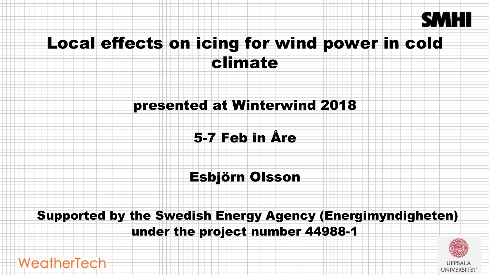

# Local effects on icing for wind power in cold

climate

#### presented at Winterwind 2018

#### 5-7 Feb in Åre

### Esbjörn Olsson

#### Supported by the Swedish Energy Agency (Energimyndigheten) under the project number 44988-1

WeatherTech

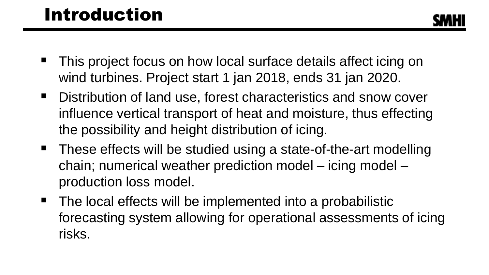### Introduction

- This project focus on how local surface details affect icing on wind turbines. Project start 1 jan 2018, ends 31 jan 2020.
- Distribution of land use, forest characteristics and snow cover influence vertical transport of heat and moisture, thus effecting the possibility and height distribution of icing.
- These effects will be studied using a state-of-the-art modelling chain; numerical weather prediction model – icing model – production loss model.
- The local effects will be implemented into a probabilistic forecasting system allowing for operational assessments of icing risks.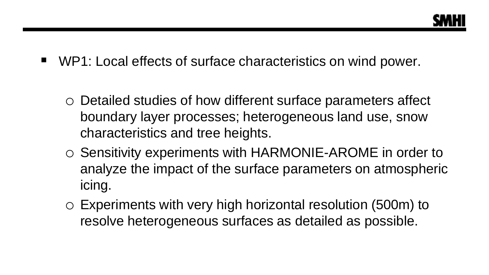- WP1: Local effects of surface characteristics on wind power.
	- o Detailed studies of how different surface parameters affect boundary layer processes; heterogeneous land use, snow characteristics and tree heights.
	- o Sensitivity experiments with HARMONIE-AROME in order to analyze the impact of the surface parameters on atmospheric icing.
	- o Experiments with very high horizontal resolution (500m) to resolve heterogeneous surfaces as detailed as possible.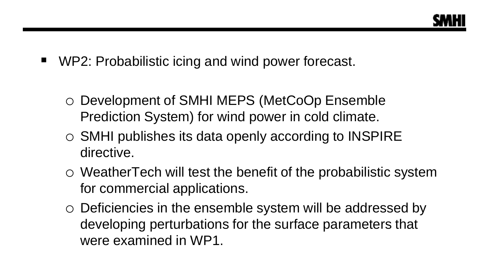

- WP2: Probabilistic icing and wind power forecast.
	- o Development of SMHI MEPS (MetCoOp Ensemble Prediction System) for wind power in cold climate.
	- o SMHI publishes its data openly according to INSPIRE directive.
	- o WeatherTech will test the benefit of the probabilistic system for commercial applications.
	- o Deficiencies in the ensemble system will be addressed by developing perturbations for the surface parameters that were examined in WP1.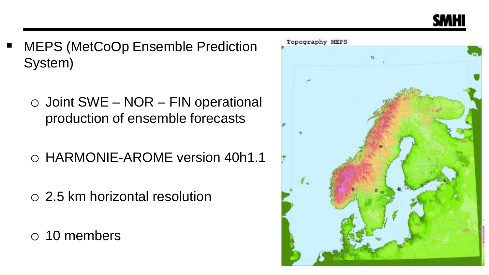

- **MEPS (MetCoOp Ensemble Prediction** System)
	- $\circ$  Joint SWE NOR FIN operational production of ensemble forecasts
	- o HARMONIE-AROME version 40h1.1
	- o 2.5 km horizontal resolution
	- o 10 members

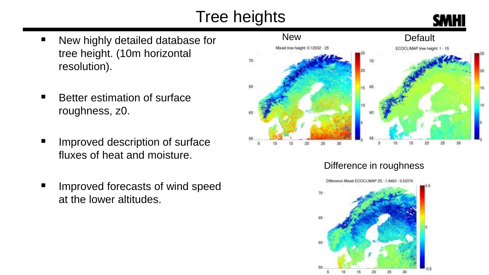## Tree heights



- New highly detailed database for tree height. (10m horizontal resolution).
- Better estimation of surface roughness, z0.
- Improved description of surface fluxes of heat and moisture.
- Improved forecasts of wind speed at the lower altitudes.



Difference in roughness